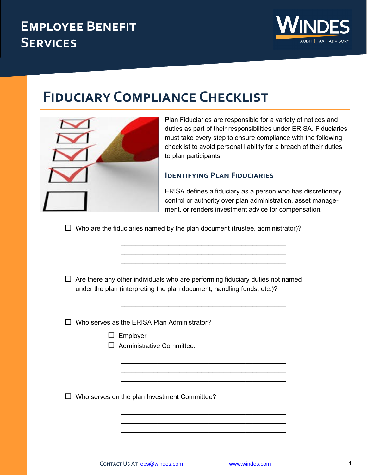

# **Fiduciary Compliance Checklist**



Plan Fiduciaries are responsible for a variety of notices and duties as part of their responsibilities under ERISA. Fiduciaries must take every step to ensure compliance with the following checklist to avoid personal liability for a breach of their duties to plan participants.

## **Identifying Plan Fiduciaries**

ERISA defines a fiduciary as a person who has discretionary control or authority over plan administration, asset management, or renders investment advice for compensation.

 $\Box$  Who are the fiduciaries named by the plan document (trustee, administrator)?

 \_\_\_\_\_\_\_\_\_\_\_\_\_\_\_\_\_\_\_\_\_\_\_\_\_\_\_\_\_\_\_\_\_\_\_\_\_\_\_\_\_\_\_\_\_ \_\_\_\_\_\_\_\_\_\_\_\_\_\_\_\_\_\_\_\_\_\_\_\_\_\_\_\_\_\_\_\_\_\_\_\_\_\_\_\_\_\_\_\_\_  $\overline{\phantom{a}}$  ,  $\overline{\phantom{a}}$  ,  $\overline{\phantom{a}}$  ,  $\overline{\phantom{a}}$  ,  $\overline{\phantom{a}}$  ,  $\overline{\phantom{a}}$  ,  $\overline{\phantom{a}}$  ,  $\overline{\phantom{a}}$  ,  $\overline{\phantom{a}}$  ,  $\overline{\phantom{a}}$  ,  $\overline{\phantom{a}}$  ,  $\overline{\phantom{a}}$  ,  $\overline{\phantom{a}}$  ,  $\overline{\phantom{a}}$  ,  $\overline{\phantom{a}}$  ,  $\overline{\phantom{a}}$ 

\_\_\_\_\_\_\_\_\_\_\_\_\_\_\_\_\_\_\_\_\_\_\_\_\_\_\_\_\_\_\_\_\_\_\_\_\_\_\_\_\_\_\_\_\_

 $\overline{\phantom{a}}$  ,  $\overline{\phantom{a}}$  ,  $\overline{\phantom{a}}$  ,  $\overline{\phantom{a}}$  ,  $\overline{\phantom{a}}$  ,  $\overline{\phantom{a}}$  ,  $\overline{\phantom{a}}$  ,  $\overline{\phantom{a}}$  ,  $\overline{\phantom{a}}$  ,  $\overline{\phantom{a}}$  ,  $\overline{\phantom{a}}$  ,  $\overline{\phantom{a}}$  ,  $\overline{\phantom{a}}$  ,  $\overline{\phantom{a}}$  ,  $\overline{\phantom{a}}$  ,  $\overline{\phantom{a}}$  \_\_\_\_\_\_\_\_\_\_\_\_\_\_\_\_\_\_\_\_\_\_\_\_\_\_\_\_\_\_\_\_\_\_\_\_\_\_\_\_\_\_\_\_\_ \_\_\_\_\_\_\_\_\_\_\_\_\_\_\_\_\_\_\_\_\_\_\_\_\_\_\_\_\_\_\_\_\_\_\_\_\_\_\_\_\_\_\_\_\_

 \_\_\_\_\_\_\_\_\_\_\_\_\_\_\_\_\_\_\_\_\_\_\_\_\_\_\_\_\_\_\_\_\_\_\_\_\_\_\_\_\_\_\_\_\_ \_\_\_\_\_\_\_\_\_\_\_\_\_\_\_\_\_\_\_\_\_\_\_\_\_\_\_\_\_\_\_\_\_\_\_\_\_\_\_\_\_\_\_\_\_  $\overline{\phantom{a}}$  ,  $\overline{\phantom{a}}$  ,  $\overline{\phantom{a}}$  ,  $\overline{\phantom{a}}$  ,  $\overline{\phantom{a}}$  ,  $\overline{\phantom{a}}$  ,  $\overline{\phantom{a}}$  ,  $\overline{\phantom{a}}$  ,  $\overline{\phantom{a}}$  ,  $\overline{\phantom{a}}$  ,  $\overline{\phantom{a}}$  ,  $\overline{\phantom{a}}$  ,  $\overline{\phantom{a}}$  ,  $\overline{\phantom{a}}$  ,  $\overline{\phantom{a}}$  ,  $\overline{\phantom{a}}$ 

 $\Box$  Are there any other individuals who are performing fiduciary duties not named under the plan (interpreting the plan document, handling funds, etc.)?

 $\Box$  Who serves as the ERISA Plan Administrator?

- $\Box$  Employer
- $\Box$  Administrative Committee:

 $\Box$  Who serves on the plan Investment Committee?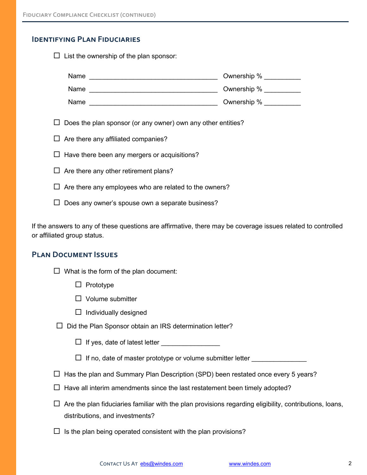#### **Identifying Plan Fiduciaries**

 $\Box$  List the ownership of the plan sponsor:

| Name <u>_________________________________</u>                       | Ownership % $\frac{1}{2}$ 2008. |  |  |
|---------------------------------------------------------------------|---------------------------------|--|--|
| Name                                                                | Ownership %                     |  |  |
| Name                                                                | Ownership %                     |  |  |
| $\Box$ Does the plan sponsor (or any owner) own any other entities? |                                 |  |  |
| $\Box$ Are there any affiliated companies?                          |                                 |  |  |
| $\Box$ Have there been any mergers or acquisitions?                 |                                 |  |  |
| $\Box$ Are there any other retirement plans?                        |                                 |  |  |
| $\Box$ Are there any employees who are related to the owners?       |                                 |  |  |
|                                                                     |                                 |  |  |

 $\Box$  Does any owner's spouse own a separate business?

If the answers to any of these questions are affirmative, there may be coverage issues related to controlled or affiliated group status.

## **Plan Document Issues**

 $\Box$  What is the form of the plan document:

- $\Box$  Prototype
- $\Box$  Volume submitter
- $\Box$  Individually designed
- $\Box$  Did the Plan Sponsor obtain an IRS determination letter?
	- $\Box$  If yes, date of latest letter  $\Box$

 $\Box$  If no, date of master prototype or volume submitter letter  $\Box$ 

- $\Box$  Has the plan and Summary Plan Description (SPD) been restated once every 5 years?
- $\Box$  Have all interim amendments since the last restatement been timely adopted?
- $\Box$  Are the plan fiduciaries familiar with the plan provisions regarding eligibility, contributions, loans, distributions, and investments?
- $\Box$  Is the plan being operated consistent with the plan provisions?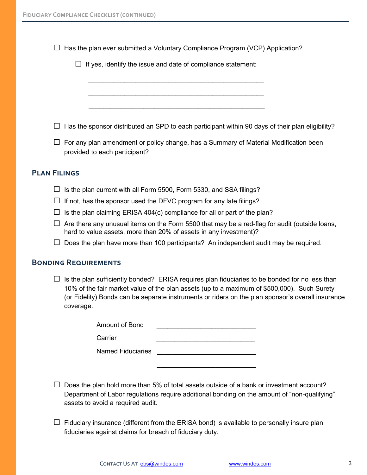|                     | $\Box$ Has the plan ever submitted a Voluntary Compliance Program (VCP) Application?                                                                                                                                                                                                                                   |
|---------------------|------------------------------------------------------------------------------------------------------------------------------------------------------------------------------------------------------------------------------------------------------------------------------------------------------------------------|
|                     | $\Box$ If yes, identify the issue and date of compliance statement:                                                                                                                                                                                                                                                    |
|                     |                                                                                                                                                                                                                                                                                                                        |
|                     |                                                                                                                                                                                                                                                                                                                        |
|                     |                                                                                                                                                                                                                                                                                                                        |
|                     | $\Box$ Has the sponsor distributed an SPD to each participant within 90 days of their plan eligibility?                                                                                                                                                                                                                |
|                     | $\Box$ For any plan amendment or policy change, has a Summary of Material Modification been<br>provided to each participant?                                                                                                                                                                                           |
| <b>PLAN FILINGS</b> |                                                                                                                                                                                                                                                                                                                        |
|                     | $\Box$ Is the plan current with all Form 5500, Form 5330, and SSA filings?                                                                                                                                                                                                                                             |
|                     | $\Box$ If not, has the sponsor used the DFVC program for any late filings?                                                                                                                                                                                                                                             |
|                     | $\Box$ Is the plan claiming ERISA 404(c) compliance for all or part of the plan?                                                                                                                                                                                                                                       |
|                     | $\Box$ Are there any unusual items on the Form 5500 that may be a red-flag for audit (outside loans,<br>hard to value assets, more than 20% of assets in any investment)?                                                                                                                                              |
|                     | $\Box$ Does the plan have more than 100 participants? An independent audit may be required.                                                                                                                                                                                                                            |
|                     | <b>BONDING REQUIREMENTS</b>                                                                                                                                                                                                                                                                                            |
|                     | $\Box$ Is the plan sufficiently bonded? ERISA requires plan fiduciaries to be bonded for no less than<br>10% of the fair market value of the plan assets (up to a maximum of \$500,000). Such Surety<br>(or Fidelity) Bonds can be separate instruments or riders on the plan sponsor's overall insurance<br>coverage. |
|                     | Amount of Bond                                                                                                                                                                                                                                                                                                         |

| Amount of Bond           |  |
|--------------------------|--|
| Carrier                  |  |
| <b>Named Fiduciaries</b> |  |
|                          |  |

 $\overline{\phantom{a}}$  , and the set of the set of the set of the set of the set of the set of the set of the set of the set of the set of the set of the set of the set of the set of the set of the set of the set of the set of the s

- $\square$  Does the plan hold more than 5% of total assets outside of a bank or investment account? Department of Labor regulations require additional bonding on the amount of "non-qualifying" assets to avoid a required audit.
- $\Box$  Fiduciary insurance (different from the ERISA bond) is available to personally insure plan fiduciaries against claims for breach of fiduciary duty.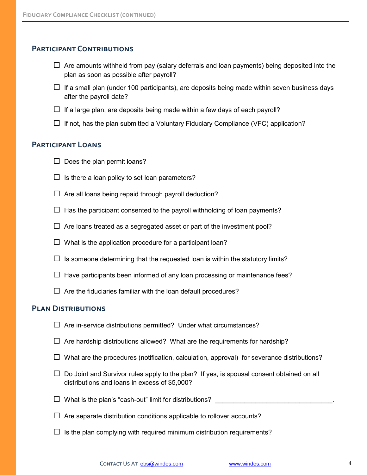# **Participant Contributions**

- $\Box$  Are amounts withheld from pay (salary deferrals and loan payments) being deposited into the plan as soon as possible after payroll?
- $\Box$  If a small plan (under 100 participants), are deposits being made within seven business days after the payroll date?
- $\Box$  If a large plan, are deposits being made within a few days of each payroll?
- $\Box$  If not, has the plan submitted a Voluntary Fiduciary Compliance (VFC) application?

#### **Participant Loans**

- $\Box$  Does the plan permit loans?
- $\Box$  Is there a loan policy to set loan parameters?
- $\Box$  Are all loans being repaid through payroll deduction?
- $\Box$  Has the participant consented to the payroll withholding of loan payments?
- $\Box$  Are loans treated as a segregated asset or part of the investment pool?
- $\Box$  What is the application procedure for a participant loan?
- $\Box$  Is someone determining that the requested loan is within the statutory limits?
- $\Box$  Have participants been informed of any loan processing or maintenance fees?
- $\Box$  Are the fiduciaries familiar with the loan default procedures?

#### **Plan Distributions**

- $\Box$  Are in-service distributions permitted? Under what circumstances?
- $\Box$  Are hardship distributions allowed? What are the requirements for hardship?
- $\Box$  What are the procedures (notification, calculation, approval) for severance distributions?
- $\Box$  Do Joint and Survivor rules apply to the plan? If yes, is spousal consent obtained on all distributions and loans in excess of \$5,000?
- $\Box$  What is the plan's "cash-out" limit for distributions?
- $\Box$  Are separate distribution conditions applicable to rollover accounts?
- $\Box$  Is the plan complying with required minimum distribution requirements?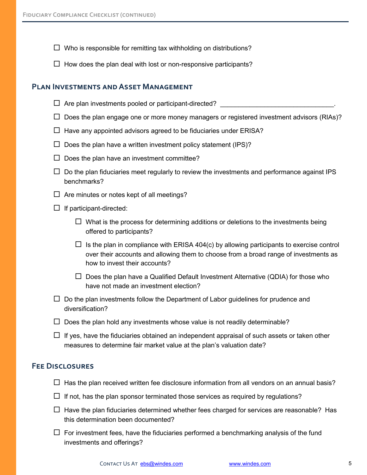- $\Box$  Who is responsible for remitting tax withholding on distributions?
- $\Box$  How does the plan deal with lost or non-responsive participants?

#### **Plan Investments and Asset Management**

- $\Box$  Are plan investments pooled or participant-directed?  $\Box$
- $\Box$  Does the plan engage one or more money managers or registered investment advisors (RIAs)?
- $\Box$  Have any appointed advisors agreed to be fiduciaries under ERISA?
- $\square$  Does the plan have a written investment policy statement (IPS)?
- $\Box$  Does the plan have an investment committee?
- $\Box$  Do the plan fiduciaries meet regularly to review the investments and performance against IPS benchmarks?
- $\Box$  Are minutes or notes kept of all meetings?
- $\Box$  If participant-directed:
	- $\Box$  What is the process for determining additions or deletions to the investments being offered to participants?
	- $\Box$  Is the plan in compliance with ERISA 404(c) by allowing participants to exercise control over their accounts and allowing them to choose from a broad range of investments as how to invest their accounts?
	- $\Box$  Does the plan have a Qualified Default Investment Alternative (QDIA) for those who have not made an investment election?
- $\Box$  Do the plan investments follow the Department of Labor guidelines for prudence and diversification?
- $\Box$  Does the plan hold any investments whose value is not readily determinable?
- $\Box$  If yes, have the fiduciaries obtained an independent appraisal of such assets or taken other measures to determine fair market value at the plan's valuation date?

#### **Fee Disclosures**

- $\Box$  Has the plan received written fee disclosure information from all vendors on an annual basis?
- $\Box$  If not, has the plan sponsor terminated those services as required by regulations?
- $\Box$  Have the plan fiduciaries determined whether fees charged for services are reasonable? Has this determination been documented?
- $\Box$  For investment fees, have the fiduciaries performed a benchmarking analysis of the fund investments and offerings?